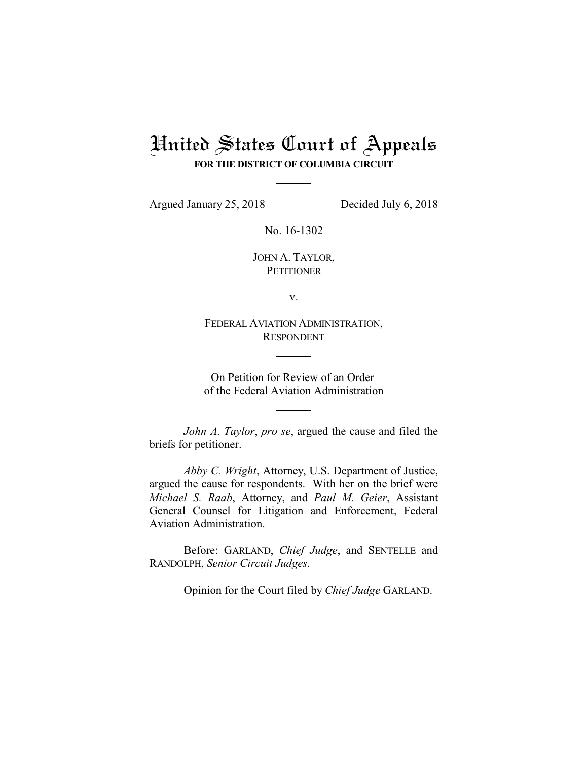## United States Court of Appeals **FOR THE DISTRICT OF COLUMBIA CIRCUIT**

Argued January 25, 2018 Decided July 6, 2018

No. 16-1302

JOHN A. TAYLOR, **PETITIONER** 

v.

FEDERAL AVIATION ADMINISTRATION, RESPONDENT

On Petition for Review of an Order of the Federal Aviation Administration

*John A. Taylor*, *pro se*, argued the cause and filed the briefs for petitioner.

*Abby C. Wright*, Attorney, U.S. Department of Justice, argued the cause for respondents. With her on the brief were *Michael S. Raab*, Attorney, and *Paul M. Geier*, Assistant General Counsel for Litigation and Enforcement, Federal Aviation Administration.

Before: GARLAND, *Chief Judge*, and SENTELLE and RANDOLPH, *Senior Circuit Judges*.

Opinion for the Court filed by *Chief Judge* GARLAND.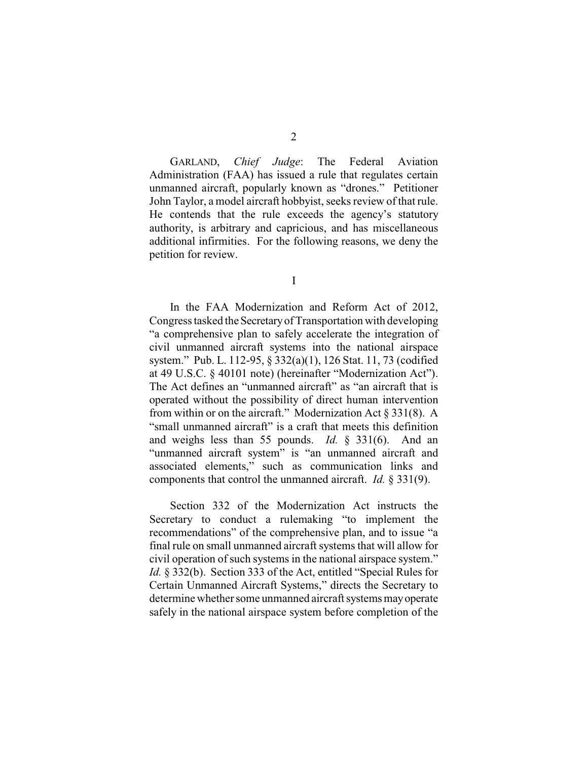GARLAND, *Chief Judge*: The Federal Aviation Administration (FAA) has issued a rule that regulates certain unmanned aircraft, popularly known as "drones." Petitioner John Taylor, a model aircraft hobbyist, seeks review of that rule. He contends that the rule exceeds the agency's statutory authority, is arbitrary and capricious, and has miscellaneous additional infirmities. For the following reasons, we deny the petition for review.

I

In the FAA Modernization and Reform Act of 2012, Congress tasked the Secretary of Transportation with developing "a comprehensive plan to safely accelerate the integration of civil unmanned aircraft systems into the national airspace system." Pub. L. 112-95, § 332(a)(1), 126 Stat. 11, 73 (codified at 49 U.S.C. § 40101 note) (hereinafter "Modernization Act"). The Act defines an "unmanned aircraft" as "an aircraft that is operated without the possibility of direct human intervention from within or on the aircraft." Modernization Act § 331(8). A "small unmanned aircraft" is a craft that meets this definition and weighs less than 55 pounds. *Id.* § 331(6). And an "unmanned aircraft system" is "an unmanned aircraft and associated elements," such as communication links and components that control the unmanned aircraft. *Id.* § 331(9).

Section 332 of the Modernization Act instructs the Secretary to conduct a rulemaking "to implement the recommendations" of the comprehensive plan, and to issue "a final rule on small unmanned aircraft systems that will allow for civil operation of such systems in the national airspace system." *Id.* § 332(b). Section 333 of the Act, entitled "Special Rules for Certain Unmanned Aircraft Systems," directs the Secretary to determine whether some unmanned aircraft systems may operate safely in the national airspace system before completion of the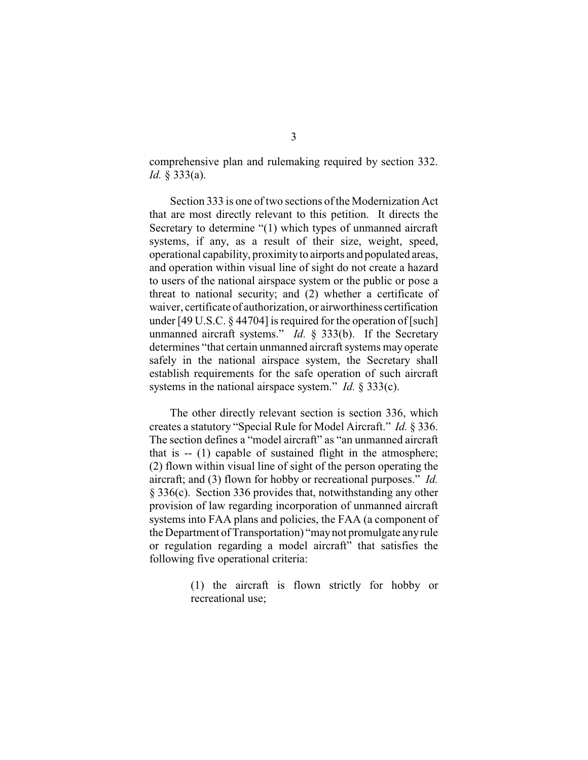comprehensive plan and rulemaking required by section 332. *Id.* § 333(a).

Section 333 is one of two sections of the Modernization Act that are most directly relevant to this petition. It directs the Secretary to determine "(1) which types of unmanned aircraft systems, if any, as a result of their size, weight, speed, operational capability, proximity to airports and populated areas, and operation within visual line of sight do not create a hazard to users of the national airspace system or the public or pose a threat to national security; and (2) whether a certificate of waiver, certificate of authorization, or airworthiness certification under [49 U.S.C. § 44704] is required for the operation of [such] unmanned aircraft systems." *Id.* § 333(b). If the Secretary determines "that certain unmanned aircraft systems may operate safely in the national airspace system, the Secretary shall establish requirements for the safe operation of such aircraft systems in the national airspace system." *Id.* § 333(c).

The other directly relevant section is section 336, which creates a statutory "Special Rule for Model Aircraft." *Id.* § 336. The section defines a "model aircraft" as "an unmanned aircraft that is -- (1) capable of sustained flight in the atmosphere; (2) flown within visual line of sight of the person operating the aircraft; and (3) flown for hobby or recreational purposes." *Id.* § 336(c). Section 336 provides that, notwithstanding any other provision of law regarding incorporation of unmanned aircraft systems into FAA plans and policies, the FAA (a component of the Department of Transportation) "maynot promulgate anyrule or regulation regarding a model aircraft" that satisfies the following five operational criteria:

> (1) the aircraft is flown strictly for hobby or recreational use;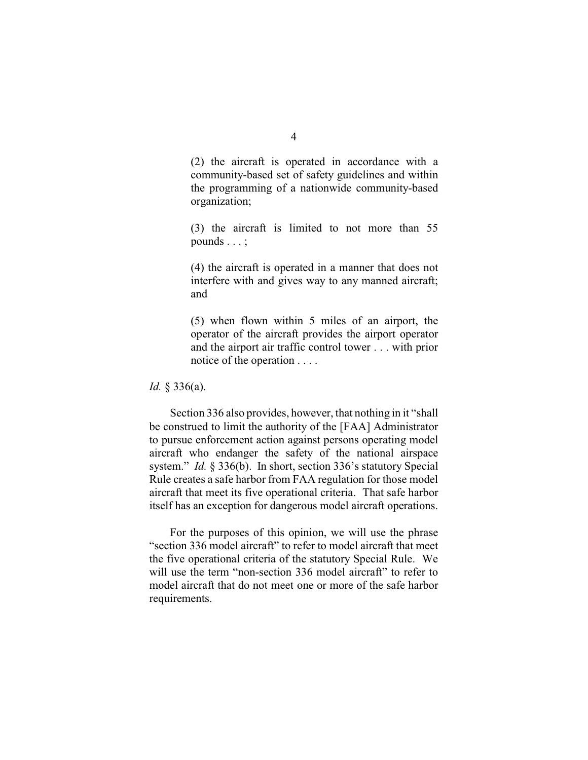(2) the aircraft is operated in accordance with a community-based set of safety guidelines and within the programming of a nationwide community-based organization;

(3) the aircraft is limited to not more than 55 pounds . . . ;

(4) the aircraft is operated in a manner that does not interfere with and gives way to any manned aircraft; and

(5) when flown within 5 miles of an airport, the operator of the aircraft provides the airport operator and the airport air traffic control tower . . . with prior notice of the operation . . . .

*Id.* § 336(a).

Section 336 also provides, however, that nothing in it "shall be construed to limit the authority of the [FAA] Administrator to pursue enforcement action against persons operating model aircraft who endanger the safety of the national airspace system." *Id.* § 336(b). In short, section 336's statutory Special Rule creates a safe harbor from FAA regulation for those model aircraft that meet its five operational criteria. That safe harbor itself has an exception for dangerous model aircraft operations.

For the purposes of this opinion, we will use the phrase "section 336 model aircraft" to refer to model aircraft that meet the five operational criteria of the statutory Special Rule. We will use the term "non-section 336 model aircraft" to refer to model aircraft that do not meet one or more of the safe harbor requirements.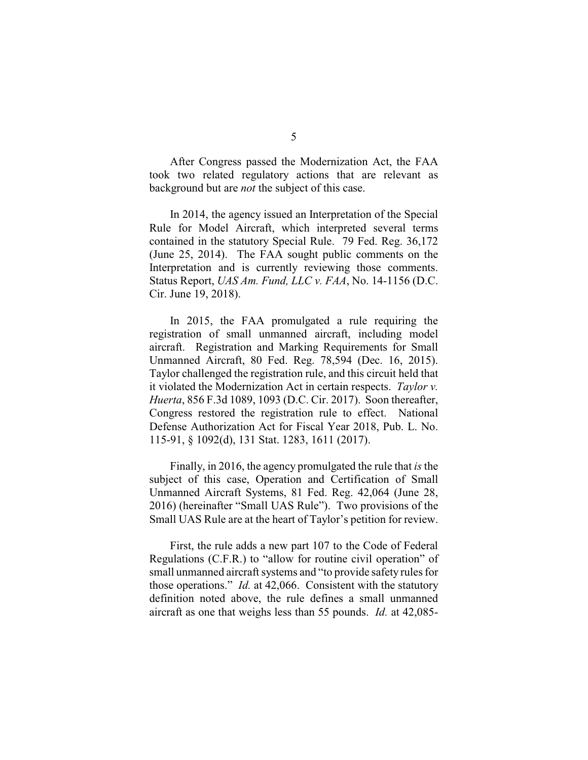After Congress passed the Modernization Act, the FAA took two related regulatory actions that are relevant as background but are *not* the subject of this case.

In 2014, the agency issued an Interpretation of the Special Rule for Model Aircraft, which interpreted several terms contained in the statutory Special Rule. 79 Fed. Reg. 36,172 (June 25, 2014). The FAA sought public comments on the Interpretation and is currently reviewing those comments. Status Report, *UAS Am. Fund, LLC v. FAA*, No. 14-1156 (D.C. Cir. June 19, 2018).

In 2015, the FAA promulgated a rule requiring the registration of small unmanned aircraft, including model aircraft. Registration and Marking Requirements for Small Unmanned Aircraft, 80 Fed. Reg. 78,594 (Dec. 16, 2015). Taylor challenged the registration rule, and this circuit held that it violated the Modernization Act in certain respects. *Taylor v. Huerta*, 856 F.3d 1089, 1093 (D.C. Cir. 2017). Soon thereafter, Congress restored the registration rule to effect. National Defense Authorization Act for Fiscal Year 2018, Pub. L. No. 115-91, § 1092(d), 131 Stat. 1283, 1611 (2017).

Finally, in 2016, the agency promulgated the rule that *is* the subject of this case, Operation and Certification of Small Unmanned Aircraft Systems, 81 Fed. Reg. 42,064 (June 28, 2016) (hereinafter "Small UAS Rule"). Two provisions of the Small UAS Rule are at the heart of Taylor's petition for review.

First, the rule adds a new part 107 to the Code of Federal Regulations (C.F.R.) to "allow for routine civil operation" of small unmanned aircraft systems and "to provide safety rules for those operations." *Id.* at 42,066. Consistent with the statutory definition noted above, the rule defines a small unmanned aircraft as one that weighs less than 55 pounds. *Id.* at 42,085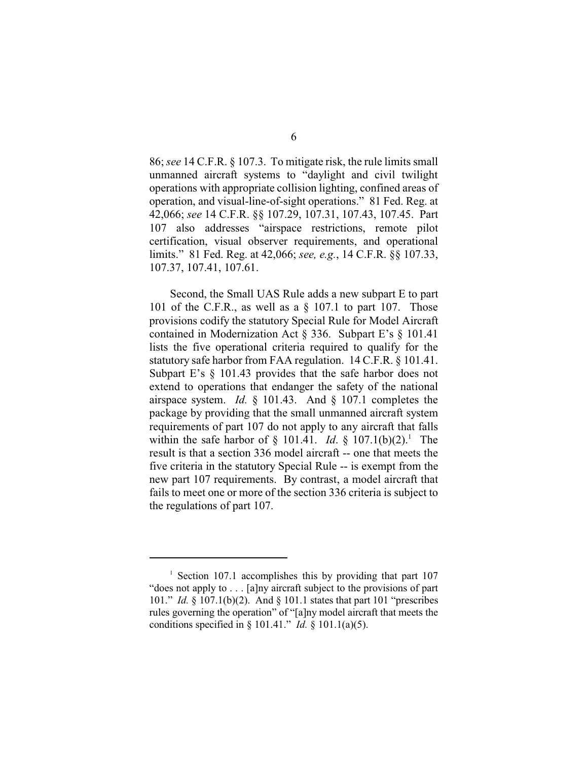86; *see* 14 C.F.R. § 107.3. To mitigate risk, the rule limits small unmanned aircraft systems to "daylight and civil twilight operations with appropriate collision lighting, confined areas of operation, and visual-line-of-sight operations." 81 Fed. Reg. at 42,066; *see* 14 C.F.R. §§ 107.29, 107.31, 107.43, 107.45. Part 107 also addresses "airspace restrictions, remote pilot certification, visual observer requirements, and operational limits." 81 Fed. Reg. at 42,066; *see, e.g.*, 14 C.F.R. §§ 107.33, 107.37, 107.41, 107.61.

Second, the Small UAS Rule adds a new subpart E to part 101 of the C.F.R., as well as a  $\S$  107.1 to part 107. Those provisions codify the statutory Special Rule for Model Aircraft contained in Modernization Act § 336. Subpart E's § 101.41 lists the five operational criteria required to qualify for the statutory safe harbor from FAA regulation. 14 C.F.R. § 101.41. Subpart E's § 101.43 provides that the safe harbor does not extend to operations that endanger the safety of the national airspace system. *Id.* § 101.43. And § 107.1 completes the package by providing that the small unmanned aircraft system requirements of part 107 do not apply to any aircraft that falls within the safe harbor of  $\S$  101.41. *Id.*  $\S$  107.1(b)(2).<sup>1</sup> The result is that a section 336 model aircraft -- one that meets the five criteria in the statutory Special Rule -- is exempt from the new part 107 requirements. By contrast, a model aircraft that fails to meet one or more of the section 336 criteria is subject to the regulations of part 107.

<sup>&</sup>lt;sup>1</sup> Section 107.1 accomplishes this by providing that part  $107$ "does not apply to . . . [a]ny aircraft subject to the provisions of part 101." *Id.* § 107.1(b)(2). And § 101.1 states that part 101 "prescribes rules governing the operation" of "[a]ny model aircraft that meets the conditions specified in § 101.41." *Id.* § 101.1(a)(5).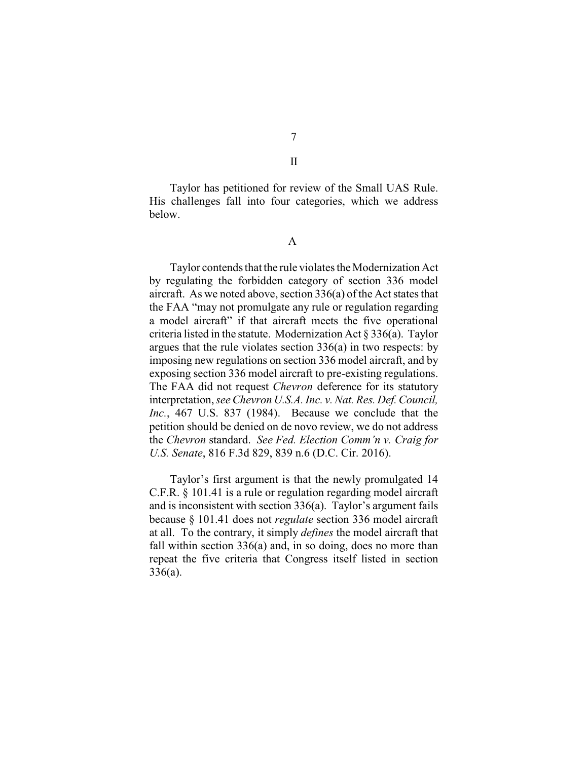Taylor has petitioned for review of the Small UAS Rule. His challenges fall into four categories, which we address below.

A

Taylor contends that the rule violates the Modernization Act by regulating the forbidden category of section 336 model aircraft. As we noted above, section 336(a) of the Act states that the FAA "may not promulgate any rule or regulation regarding a model aircraft" if that aircraft meets the five operational criteria listed in the statute. Modernization Act § 336(a). Taylor argues that the rule violates section 336(a) in two respects: by imposing new regulations on section 336 model aircraft, and by exposing section 336 model aircraft to pre-existing regulations. The FAA did not request *Chevron* deference for its statutory interpretation,*see Chevron U.S.A. Inc. v. Nat. Res. Def. Council, Inc.*, 467 U.S. 837 (1984). Because we conclude that the petition should be denied on de novo review, we do not address the *Chevron* standard. *See Fed. Election Comm'n v. Craig for U.S. Senate*, 816 F.3d 829, 839 n.6 (D.C. Cir. 2016).

Taylor's first argument is that the newly promulgated 14 C.F.R. § 101.41 is a rule or regulation regarding model aircraft and is inconsistent with section 336(a). Taylor's argument fails because § 101.41 does not *regulate* section 336 model aircraft at all. To the contrary, it simply *defines* the model aircraft that fall within section 336(a) and, in so doing, does no more than repeat the five criteria that Congress itself listed in section 336(a).

7

II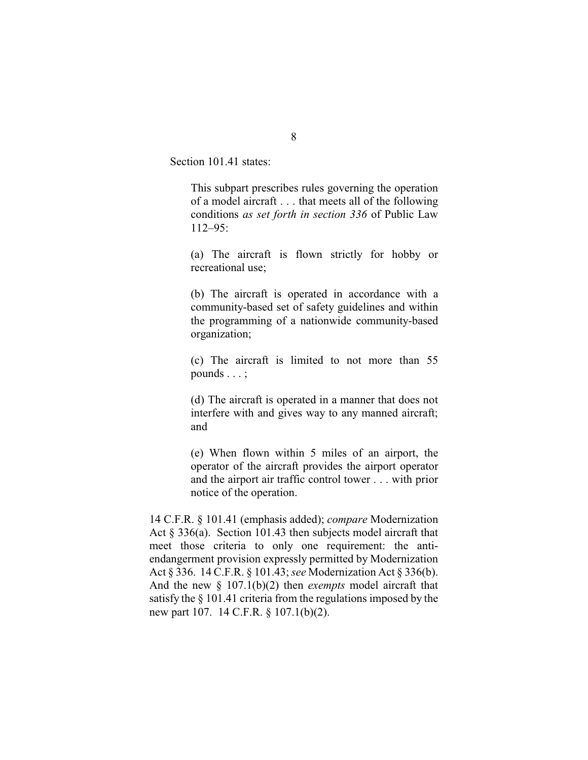Section 101.41 states:

This subpart prescribes rules governing the operation of a model aircraft . . . that meets all of the following conditions *as set forth in section 336* of Public Law 112–95:

(a) The aircraft is flown strictly for hobby or recreational use;

(b) The aircraft is operated in accordance with a community-based set of safety guidelines and within the programming of a nationwide community-based organization;

(c) The aircraft is limited to not more than 55 pounds . . . ;

(d) The aircraft is operated in a manner that does not interfere with and gives way to any manned aircraft; and

(e) When flown within 5 miles of an airport, the operator of the aircraft provides the airport operator and the airport air traffic control tower . . . with prior notice of the operation.

14 C.F.R. § 101.41 (emphasis added); *compare* Modernization Act § 336(a). Section 101.43 then subjects model aircraft that meet those criteria to only one requirement: the antiendangerment provision expressly permitted by Modernization Act § 336. 14 C.F.R. § 101.43; *see* Modernization Act § 336(b). And the new § 107.1(b)(2) then *exempts* model aircraft that satisfy the § 101.41 criteria from the regulations imposed by the new part 107. 14 C.F.R. § 107.1(b)(2).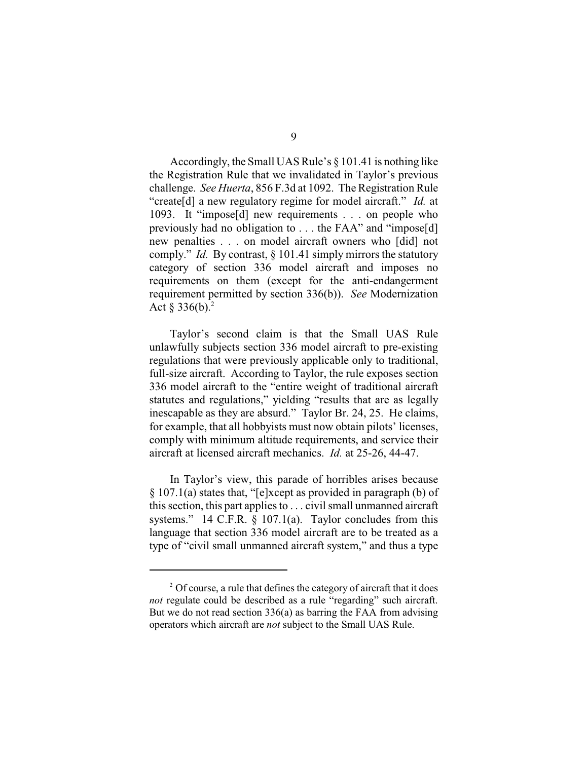Accordingly, the Small UAS Rule's § 101.41 is nothing like the Registration Rule that we invalidated in Taylor's previous challenge. *See Huerta*, 856 F.3d at 1092. The Registration Rule "create[d] a new regulatory regime for model aircraft." *Id.* at 1093. It "impose[d] new requirements . . . on people who previously had no obligation to . . . the FAA" and "impose[d] new penalties . . . on model aircraft owners who [did] not comply." *Id.* By contrast, § 101.41 simply mirrors the statutory category of section 336 model aircraft and imposes no requirements on them (except for the anti-endangerment requirement permitted by section 336(b)). *See* Modernization Act  $\S 336(b).^2$ 

Taylor's second claim is that the Small UAS Rule unlawfully subjects section 336 model aircraft to pre-existing regulations that were previously applicable only to traditional, full-size aircraft. According to Taylor, the rule exposes section 336 model aircraft to the "entire weight of traditional aircraft statutes and regulations," yielding "results that are as legally inescapable as they are absurd." Taylor Br. 24, 25. He claims, for example, that all hobbyists must now obtain pilots' licenses, comply with minimum altitude requirements, and service their aircraft at licensed aircraft mechanics. *Id.* at 25-26, 44-47.

In Taylor's view, this parade of horribles arises because § 107.1(a) states that, "[e]xcept as provided in paragraph (b) of this section, this part applies to . . . civil small unmanned aircraft systems." 14 C.F.R. § 107.1(a). Taylor concludes from this language that section 336 model aircraft are to be treated as a type of "civil small unmanned aircraft system," and thus a type

 $2^2$  Of course, a rule that defines the category of aircraft that it does *not* regulate could be described as a rule "regarding" such aircraft. But we do not read section 336(a) as barring the FAA from advising operators which aircraft are *not* subject to the Small UAS Rule.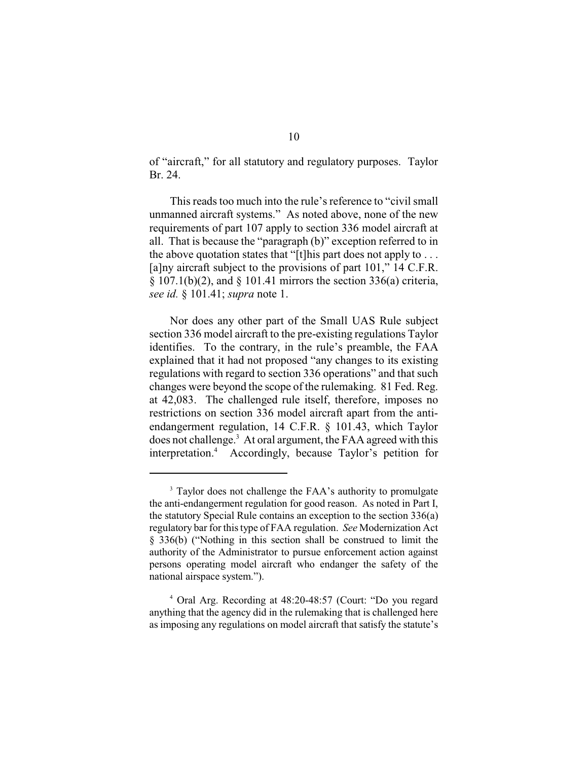of "aircraft," for all statutory and regulatory purposes. Taylor Br. 24.

This reads too much into the rule's reference to "civil small unmanned aircraft systems." As noted above, none of the new requirements of part 107 apply to section 336 model aircraft at all. That is because the "paragraph (b)" exception referred to in the above quotation states that "[t]his part does not apply to  $\dots$ [a]ny aircraft subject to the provisions of part 101," 14 C.F.R.  $§ 107.1(b)(2)$ , and  $§ 101.41$  mirrors the section 336(a) criteria, *see id.* § 101.41; *supra* note 1.

Nor does any other part of the Small UAS Rule subject section 336 model aircraft to the pre-existing regulations Taylor identifies. To the contrary, in the rule's preamble, the FAA explained that it had not proposed "any changes to its existing regulations with regard to section 336 operations" and that such changes were beyond the scope of the rulemaking. 81 Fed. Reg. at 42,083. The challenged rule itself, therefore, imposes no restrictions on section 336 model aircraft apart from the antiendangerment regulation, 14 C.F.R. § 101.43, which Taylor does not challenge.<sup>3</sup> At oral argument, the FAA agreed with this interpretation. $4$  Accordingly, because Taylor's petition for

<sup>&</sup>lt;sup>3</sup> Taylor does not challenge the FAA's authority to promulgate the anti-endangerment regulation for good reason. As noted in Part I, the statutory Special Rule contains an exception to the section 336(a) regulatory bar for thistype of FAA regulation. *See* Modernization Act § 336(b) ("Nothing in this section shall be construed to limit the authority of the Administrator to pursue enforcement action against persons operating model aircraft who endanger the safety of the national airspace system.").

<sup>&</sup>lt;sup>4</sup> Oral Arg. Recording at 48:20-48:57 (Court: "Do you regard anything that the agency did in the rulemaking that is challenged here as imposing any regulations on model aircraft that satisfy the statute's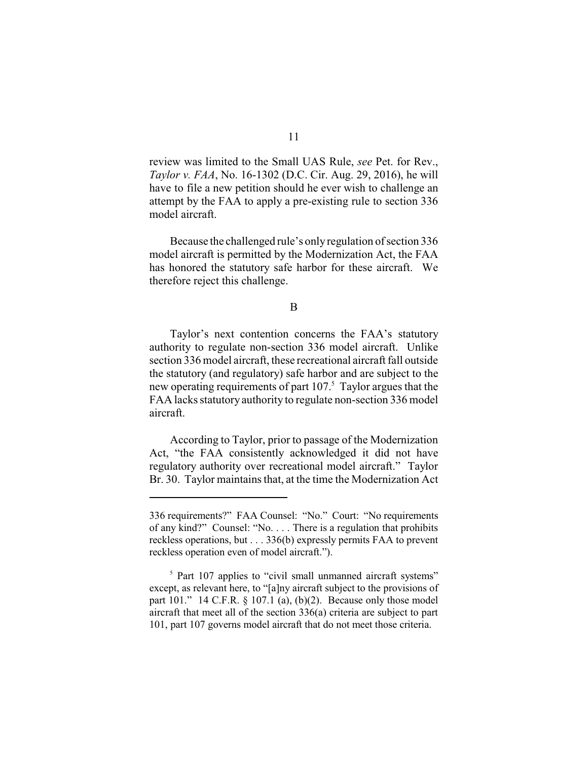review was limited to the Small UAS Rule, *see* Pet. for Rev., *Taylor v. FAA*, No. 16-1302 (D.C. Cir. Aug. 29, 2016), he will have to file a new petition should he ever wish to challenge an attempt by the FAA to apply a pre-existing rule to section 336 model aircraft.

Because the challenged rule's only regulation of section 336 model aircraft is permitted by the Modernization Act, the FAA has honored the statutory safe harbor for these aircraft. We therefore reject this challenge.

B

Taylor's next contention concerns the FAA's statutory authority to regulate non-section 336 model aircraft. Unlike section 336 model aircraft, these recreational aircraft fall outside the statutory (and regulatory) safe harbor and are subject to the new operating requirements of part  $107<sup>5</sup>$ . Taylor argues that the FAA lacks statutory authority to regulate non-section 336 model aircraft.

According to Taylor, prior to passage of the Modernization Act, "the FAA consistently acknowledged it did not have regulatory authority over recreational model aircraft." Taylor Br. 30. Taylor maintains that, at the time the Modernization Act

<sup>336</sup> requirements?" FAA Counsel: "No." Court: "No requirements of any kind?" Counsel: "No. . . . There is a regulation that prohibits reckless operations, but . . . 336(b) expressly permits FAA to prevent reckless operation even of model aircraft.").

 $5$  Part 107 applies to "civil small unmanned aircraft systems" except, as relevant here, to "[a]ny aircraft subject to the provisions of part 101." 14 C.F.R.  $\S$  107.1 (a), (b)(2). Because only those model aircraft that meet all of the section 336(a) criteria are subject to part 101, part 107 governs model aircraft that do not meet those criteria.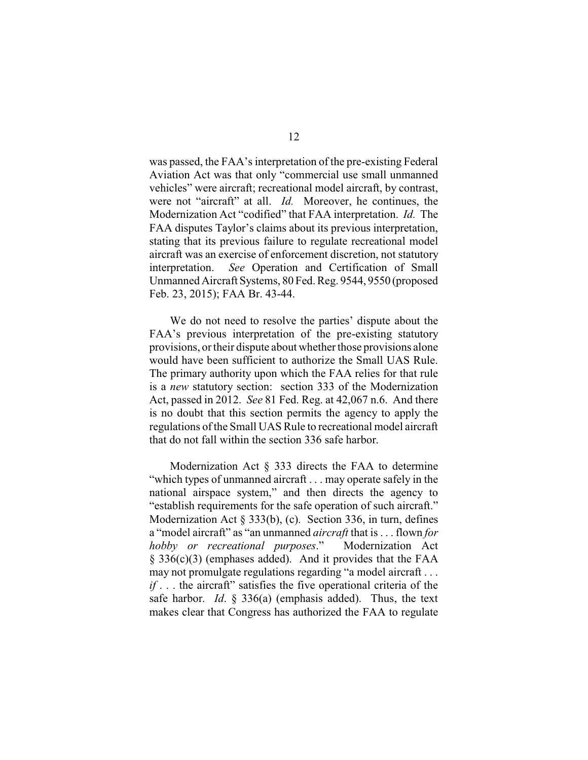was passed, the FAA's interpretation of the pre-existing Federal Aviation Act was that only "commercial use small unmanned vehicles" were aircraft; recreational model aircraft, by contrast, were not "aircraft" at all. *Id.* Moreover, he continues, the Modernization Act "codified" that FAA interpretation. *Id.* The FAA disputes Taylor's claims about its previous interpretation, stating that its previous failure to regulate recreational model aircraft was an exercise of enforcement discretion, not statutory interpretation. *See* Operation and Certification of Small Unmanned Aircraft Systems, 80 Fed. Reg. 9544, 9550 (proposed Feb. 23, 2015); FAA Br. 43-44.

We do not need to resolve the parties' dispute about the FAA's previous interpretation of the pre-existing statutory provisions, or their dispute about whether those provisions alone would have been sufficient to authorize the Small UAS Rule. The primary authority upon which the FAA relies for that rule is a *new* statutory section: section 333 of the Modernization Act, passed in 2012. *See* 81 Fed. Reg. at 42,067 n.6. And there is no doubt that this section permits the agency to apply the regulations of the Small UAS Rule to recreational model aircraft that do not fall within the section 336 safe harbor.

Modernization Act § 333 directs the FAA to determine "which types of unmanned aircraft . . . may operate safely in the national airspace system," and then directs the agency to "establish requirements for the safe operation of such aircraft." Modernization Act § 333(b), (c). Section 336, in turn, defines a "model aircraft" as "an unmanned *aircraft* that is . . . flown *for hobby or recreational purposes*." Modernization Act § 336(c)(3) (emphases added). And it provides that the FAA may not promulgate regulations regarding "a model aircraft . . . *if* . . . the aircraft" satisfies the five operational criteria of the safe harbor. *Id*. § 336(a) (emphasis added). Thus, the text makes clear that Congress has authorized the FAA to regulate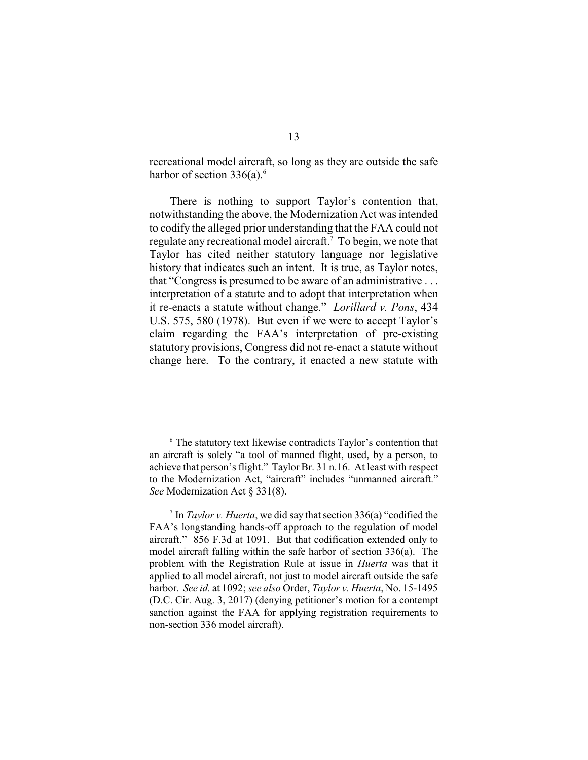recreational model aircraft, so long as they are outside the safe harbor of section  $336(a)$ .<sup>6</sup>

There is nothing to support Taylor's contention that, notwithstanding the above, the Modernization Act was intended to codify the alleged prior understanding that the FAA could not regulate any recreational model aircraft.<sup> $7$ </sup> To begin, we note that Taylor has cited neither statutory language nor legislative history that indicates such an intent. It is true, as Taylor notes, that "Congress is presumed to be aware of an administrative . . . interpretation of a statute and to adopt that interpretation when it re-enacts a statute without change." *Lorillard v. Pons*, 434 U.S. 575, 580 (1978). But even if we were to accept Taylor's claim regarding the FAA's interpretation of pre-existing statutory provisions, Congress did not re-enact a statute without change here. To the contrary, it enacted a new statute with

<sup>&</sup>lt;sup>6</sup> The statutory text likewise contradicts Taylor's contention that an aircraft is solely "a tool of manned flight, used, by a person, to achieve that person's flight." Taylor Br. 31 n.16. At least with respect to the Modernization Act, "aircraft" includes "unmanned aircraft." *See* Modernization Act § 331(8).

 $\frac{1}{2}$  In *Taylor v. Huerta*, we did say that section 336(a) "codified the FAA's longstanding hands-off approach to the regulation of model aircraft." 856 F.3d at 1091. But that codification extended only to model aircraft falling within the safe harbor of section 336(a). The problem with the Registration Rule at issue in *Huerta* was that it applied to all model aircraft, not just to model aircraft outside the safe harbor. *See id.* at 1092; *see also* Order, *Taylor v. Huerta*, No. 15-1495 (D.C. Cir. Aug. 3, 2017) (denying petitioner's motion for a contempt sanction against the FAA for applying registration requirements to non-section 336 model aircraft).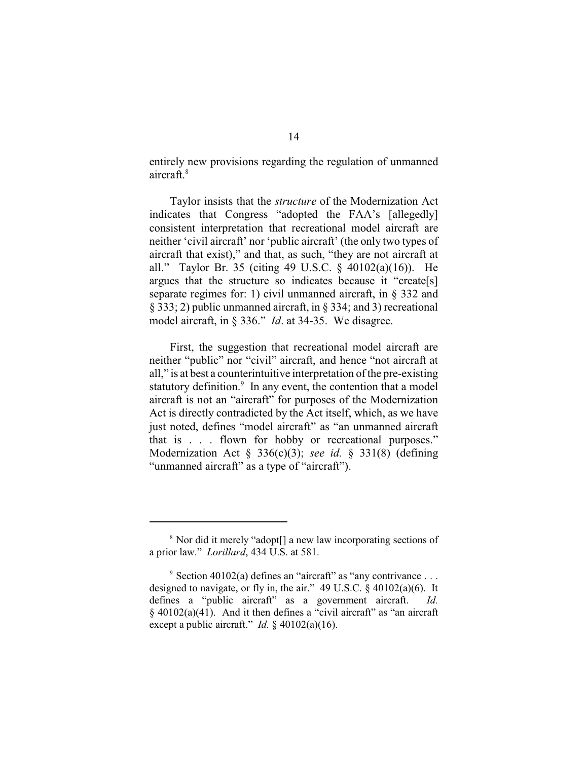entirely new provisions regarding the regulation of unmanned aircraft.<sup>8</sup>

Taylor insists that the *structure* of the Modernization Act indicates that Congress "adopted the FAA's [allegedly] consistent interpretation that recreational model aircraft are neither 'civil aircraft' nor 'public aircraft' (the only two types of aircraft that exist)," and that, as such, "they are not aircraft at all." Taylor Br. 35 (citing 49 U.S.C. § 40102(a)(16)). He argues that the structure so indicates because it "create[s] separate regimes for: 1) civil unmanned aircraft, in § 332 and § 333; 2) public unmanned aircraft, in § 334; and 3) recreational model aircraft, in § 336." *Id*. at 34-35. We disagree.

First, the suggestion that recreational model aircraft are neither "public" nor "civil" aircraft, and hence "not aircraft at all," is at best a counterintuitive interpretation of the pre-existing statutory definition. $\degree$  In any event, the contention that a model aircraft is not an "aircraft" for purposes of the Modernization Act is directly contradicted by the Act itself, which, as we have just noted, defines "model aircraft" as "an unmanned aircraft that is . . . flown for hobby or recreational purposes." Modernization Act § 336(c)(3); *see id.* § 331(8) (defining "unmanned aircraft" as a type of "aircraft").

<sup>&</sup>lt;sup>8</sup> Nor did it merely "adopt<sup>[]</sup> a new law incorporating sections of a prior law." *Lorillard*, 434 U.S. at 581.

 $\degree$  Section 40102(a) defines an "aircraft" as "any contrivance ... designed to navigate, or fly in, the air." 49 U.S.C. § 40102(a)(6). It defines a "public aircraft" as a government aircraft. *Id.*  $§$  40102(a)(41). And it then defines a "civil aircraft" as "an aircraft" except a public aircraft." *Id.* § 40102(a)(16).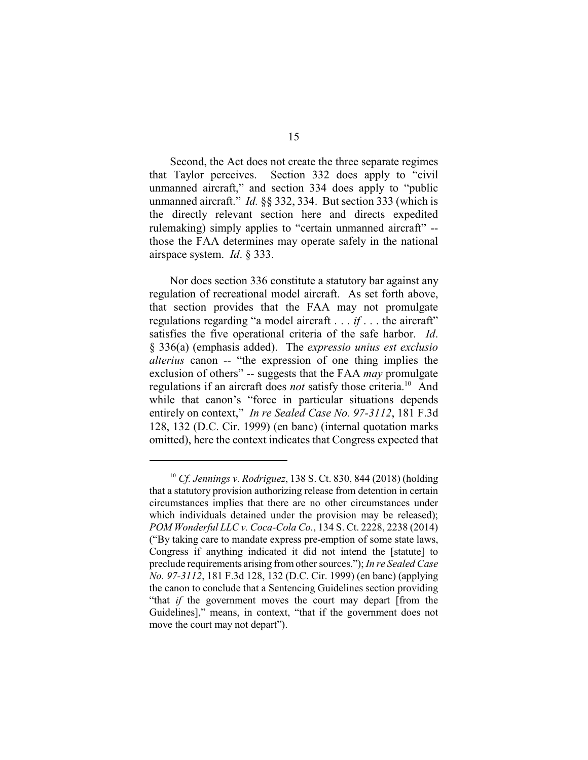Second, the Act does not create the three separate regimes that Taylor perceives. Section 332 does apply to "civil unmanned aircraft," and section 334 does apply to "public unmanned aircraft." *Id.* §§ 332, 334. But section 333 (which is the directly relevant section here and directs expedited rulemaking) simply applies to "certain unmanned aircraft" - those the FAA determines may operate safely in the national airspace system. *Id*. § 333.

Nor does section 336 constitute a statutory bar against any regulation of recreational model aircraft. As set forth above, that section provides that the FAA may not promulgate regulations regarding "a model aircraft . . . *if* . . . the aircraft" satisfies the five operational criteria of the safe harbor. *Id*. § 336(a) (emphasis added). The *expressio unius est exclusio alterius* canon -- "the expression of one thing implies the exclusion of others" -- suggests that the FAA *may* promulgate regulations if an aircraft does *not* satisfy those criteria.<sup>10</sup> And while that canon's "force in particular situations depends entirely on context," *In re Sealed Case No. 97-3112*, 181 F.3d 128, 132 (D.C. Cir. 1999) (en banc) (internal quotation marks omitted), here the context indicates that Congress expected that

<sup>&</sup>lt;sup>10</sup> Cf. Jennings v. Rodriguez, 138 S. Ct. 830, 844 (2018) (holding that a statutory provision authorizing release from detention in certain circumstances implies that there are no other circumstances under which individuals detained under the provision may be released); *POM Wonderful LLC v. Coca-Cola Co.*, 134 S. Ct. 2228, 2238 (2014) ("By taking care to mandate express pre-emption of some state laws, Congress if anything indicated it did not intend the [statute] to preclude requirements arising from other sources."); *In re Sealed Case No. 97-3112*, 181 F.3d 128, 132 (D.C. Cir. 1999) (en banc) (applying the canon to conclude that a Sentencing Guidelines section providing "that *if* the government moves the court may depart [from the Guidelines]," means, in context, "that if the government does not move the court may not depart").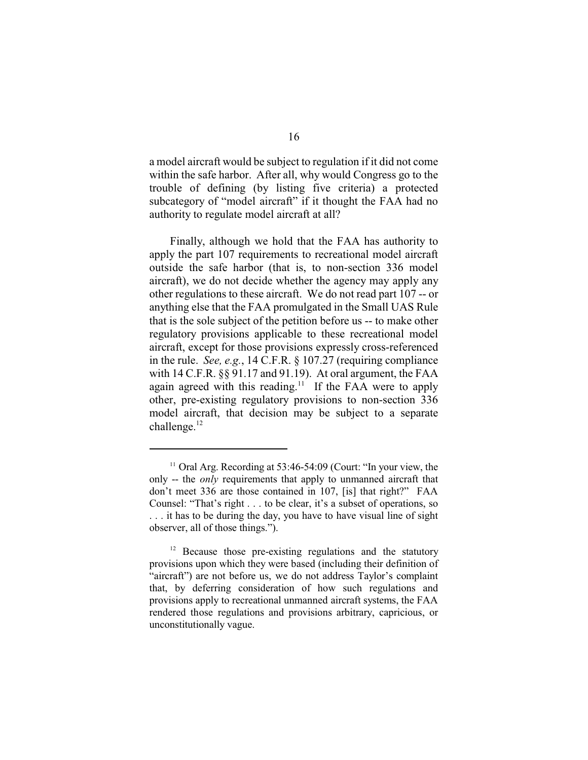a model aircraft would be subject to regulation if it did not come within the safe harbor. After all, why would Congress go to the trouble of defining (by listing five criteria) a protected subcategory of "model aircraft" if it thought the FAA had no authority to regulate model aircraft at all?

Finally, although we hold that the FAA has authority to apply the part 107 requirements to recreational model aircraft outside the safe harbor (that is, to non-section 336 model aircraft), we do not decide whether the agency may apply any other regulations to these aircraft. We do not read part 107 -- or anything else that the FAA promulgated in the Small UAS Rule that is the sole subject of the petition before us -- to make other regulatory provisions applicable to these recreational model aircraft, except for those provisions expressly cross-referenced in the rule. *See, e.g.*, 14 C.F.R. § 107.27 (requiring compliance with 14 C.F.R. §§ 91.17 and 91.19). At oral argument, the FAA again agreed with this reading.<sup>11</sup> If the FAA were to apply other, pre-existing regulatory provisions to non-section 336 model aircraft, that decision may be subject to a separate challenge. $^{12}$ 

 $11$  Oral Arg. Recording at 53:46-54:09 (Court: "In your view, the only -- the *only* requirements that apply to unmanned aircraft that don't meet 336 are those contained in 107, [is] that right?" FAA Counsel: "That's right . . . to be clear, it's a subset of operations, so . . . it has to be during the day, you have to have visual line of sight observer, all of those things.").

 $12$  Because those pre-existing regulations and the statutory provisions upon which they were based (including their definition of "aircraft") are not before us, we do not address Taylor's complaint that, by deferring consideration of how such regulations and provisions apply to recreational unmanned aircraft systems, the FAA rendered those regulations and provisions arbitrary, capricious, or unconstitutionally vague.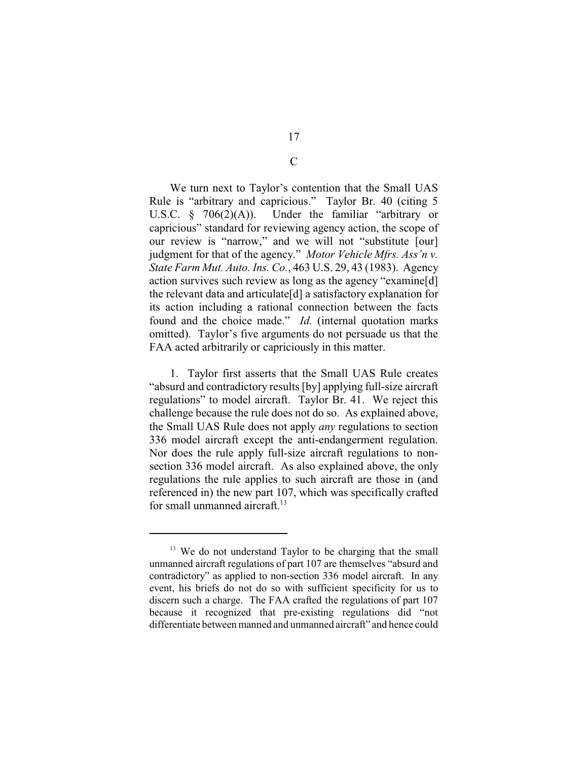We turn next to Taylor's contention that the Small UAS Rule is "arbitrary and capricious." Taylor Br. 40 (citing 5 U.S.C. § 706(2)(A)). Under the familiar "arbitrary or capricious" standard for reviewing agency action, the scope of our review is "narrow," and we will not "substitute [our] judgment for that of the agency." *Motor Vehicle Mfrs. Ass'n v. State Farm Mut. Auto. Ins. Co.*, 463 U.S. 29, 43 (1983). Agency action survives such review as long as the agency "examine[d] the relevant data and articulate[d] a satisfactory explanation for its action including a rational connection between the facts found and the choice made." *Id.* (internal quotation marks omitted). Taylor's five arguments do not persuade us that the FAA acted arbitrarily or capriciously in this matter.

1. Taylor first asserts that the Small UAS Rule creates "absurd and contradictory results [by] applying full-size aircraft regulations" to model aircraft. Taylor Br. 41. We reject this challenge because the rule does not do so. As explained above, the Small UAS Rule does not apply *any* regulations to section 336 model aircraft except the anti-endangerment regulation. Nor does the rule apply full-size aircraft regulations to nonsection 336 model aircraft. As also explained above, the only regulations the rule applies to such aircraft are those in (and referenced in) the new part 107, which was specifically crafted for small unmanned aircraft.<sup>13</sup>

C

<sup>&</sup>lt;sup>13</sup> We do not understand Taylor to be charging that the small unmanned aircraft regulations of part 107 are themselves "absurd and contradictory" as applied to non-section 336 model aircraft. In any event, his briefs do not do so with sufficient specificity for us to discern such a charge. The FAA crafted the regulations of part 107 because it recognized that pre-existing regulations did "not differentiate between manned and unmanned aircraft" and hence could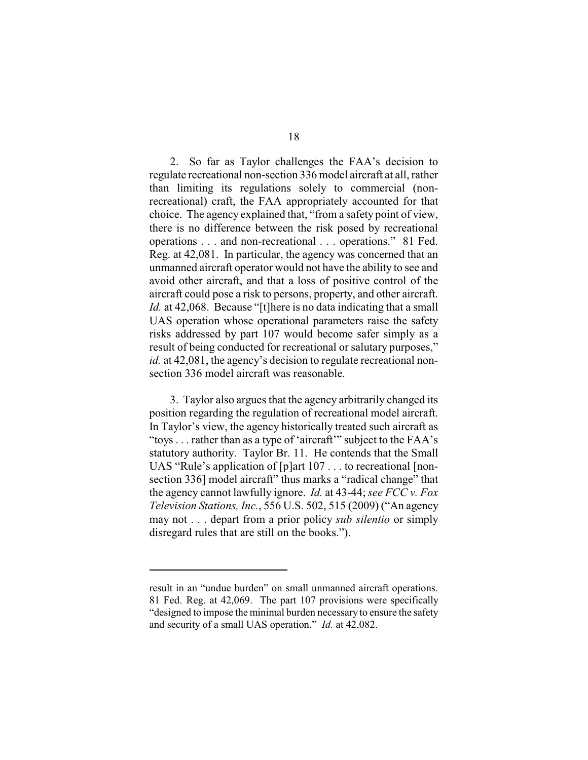2. So far as Taylor challenges the FAA's decision to regulate recreational non-section 336 model aircraft at all, rather than limiting its regulations solely to commercial (nonrecreational) craft, the FAA appropriately accounted for that choice. The agency explained that, "from a safety point of view, there is no difference between the risk posed by recreational operations . . . and non-recreational . . . operations." 81 Fed. Reg. at 42,081. In particular, the agency was concerned that an unmanned aircraft operator would not have the ability to see and avoid other aircraft, and that a loss of positive control of the aircraft could pose a risk to persons, property, and other aircraft. *Id.* at 42,068. Because "[t] here is no data indicating that a small UAS operation whose operational parameters raise the safety risks addressed by part 107 would become safer simply as a result of being conducted for recreational or salutary purposes," *id.* at 42,081, the agency's decision to regulate recreational nonsection 336 model aircraft was reasonable.

3. Taylor also argues that the agency arbitrarily changed its position regarding the regulation of recreational model aircraft. In Taylor's view, the agency historically treated such aircraft as "toys . . . rather than as a type of 'aircraft'" subject to the FAA's statutory authority. Taylor Br. 11. He contends that the Small UAS "Rule's application of [p]art 107 . . . to recreational [nonsection 336] model aircraft" thus marks a "radical change" that the agency cannot lawfully ignore. *Id.* at 43-44; *see FCC v. Fox Television Stations, Inc.*, 556 U.S. 502, 515 (2009) ("An agency may not . . . depart from a prior policy *sub silentio* or simply disregard rules that are still on the books.").

result in an "undue burden" on small unmanned aircraft operations. 81 Fed. Reg. at 42,069. The part 107 provisions were specifically "designed to impose the minimal burden necessary to ensure the safety and security of a small UAS operation." *Id.* at 42,082.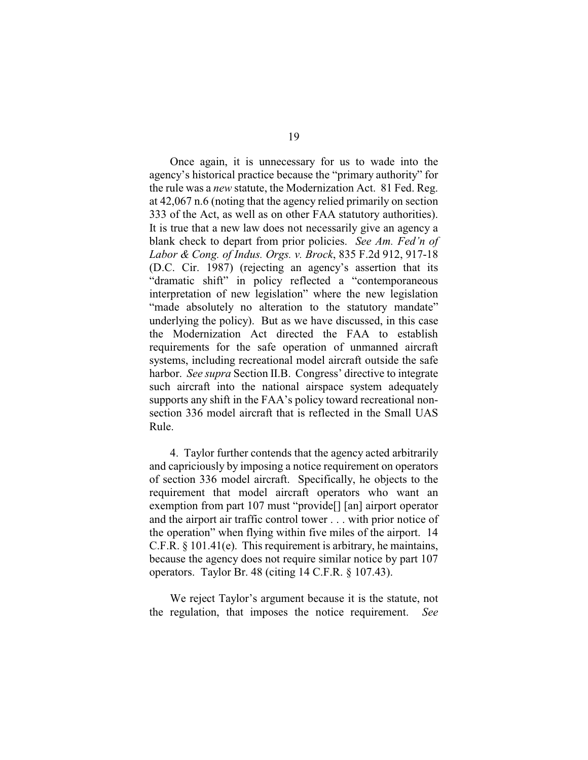Once again, it is unnecessary for us to wade into the agency's historical practice because the "primary authority" for the rule was a *new* statute, the Modernization Act. 81 Fed. Reg. at 42,067 n.6 (noting that the agency relied primarily on section 333 of the Act, as well as on other FAA statutory authorities). It is true that a new law does not necessarily give an agency a blank check to depart from prior policies. *See Am. Fed'n of Labor & Cong. of Indus. Orgs. v. Brock*, 835 F.2d 912, 917-18 (D.C. Cir. 1987) (rejecting an agency's assertion that its "dramatic shift" in policy reflected a "contemporaneous interpretation of new legislation" where the new legislation "made absolutely no alteration to the statutory mandate" underlying the policy). But as we have discussed, in this case the Modernization Act directed the FAA to establish requirements for the safe operation of unmanned aircraft systems, including recreational model aircraft outside the safe harbor. *See supra* Section II.B. Congress' directive to integrate such aircraft into the national airspace system adequately supports any shift in the FAA's policy toward recreational nonsection 336 model aircraft that is reflected in the Small UAS Rule.

4. Taylor further contends that the agency acted arbitrarily and capriciously by imposing a notice requirement on operators of section 336 model aircraft. Specifically, he objects to the requirement that model aircraft operators who want an exemption from part 107 must "provide[] [an] airport operator and the airport air traffic control tower . . . with prior notice of the operation" when flying within five miles of the airport. 14 C.F.R. § 101.41(e). This requirement is arbitrary, he maintains, because the agency does not require similar notice by part 107 operators. Taylor Br. 48 (citing 14 C.F.R. § 107.43).

We reject Taylor's argument because it is the statute, not the regulation, that imposes the notice requirement. *See*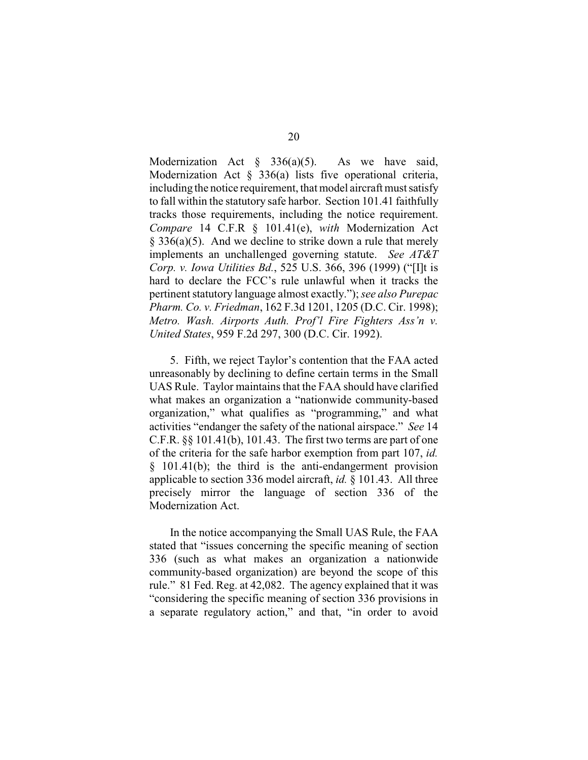Modernization Act  $\S$  336(a)(5). As we have said, Modernization Act § 336(a) lists five operational criteria, including the notice requirement, that model aircraft must satisfy to fall within the statutory safe harbor. Section 101.41 faithfully tracks those requirements, including the notice requirement. *Compare* 14 C.F.R § 101.41(e), *with* Modernization Act § 336(a)(5). And we decline to strike down a rule that merely implements an unchallenged governing statute. *See AT&T Corp. v. Iowa Utilities Bd.*, 525 U.S. 366, 396 (1999) ("[I]t is hard to declare the FCC's rule unlawful when it tracks the pertinent statutory language almost exactly."); *see also Purepac Pharm. Co. v. Friedman*, 162 F.3d 1201, 1205 (D.C. Cir. 1998); *Metro. Wash. Airports Auth. Prof'l Fire Fighters Ass'n v. United States*, 959 F.2d 297, 300 (D.C. Cir. 1992).

5. Fifth, we reject Taylor's contention that the FAA acted unreasonably by declining to define certain terms in the Small UAS Rule. Taylor maintains that the FAA should have clarified what makes an organization a "nationwide community-based organization," what qualifies as "programming," and what activities "endanger the safety of the national airspace." *See* 14 C.F.R. §§ 101.41(b), 101.43. The first two terms are part of one of the criteria for the safe harbor exemption from part 107, *id.* § 101.41(b); the third is the anti-endangerment provision applicable to section 336 model aircraft, *id.* § 101.43. All three precisely mirror the language of section 336 of the Modernization Act.

In the notice accompanying the Small UAS Rule, the FAA stated that "issues concerning the specific meaning of section 336 (such as what makes an organization a nationwide community-based organization) are beyond the scope of this rule." 81 Fed. Reg. at 42,082. The agency explained that it was "considering the specific meaning of section 336 provisions in a separate regulatory action," and that, "in order to avoid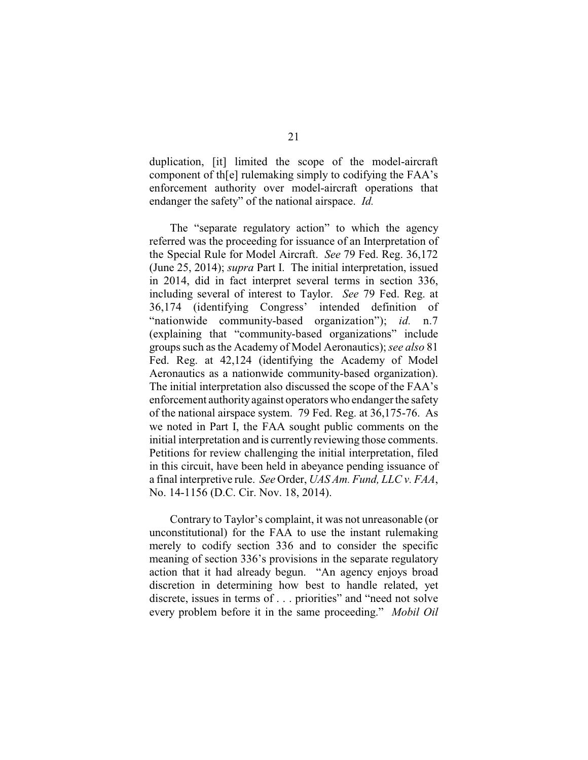duplication, [it] limited the scope of the model-aircraft component of th[e] rulemaking simply to codifying the FAA's enforcement authority over model-aircraft operations that endanger the safety" of the national airspace. *Id.*

The "separate regulatory action" to which the agency referred was the proceeding for issuance of an Interpretation of the Special Rule for Model Aircraft. *See* 79 Fed. Reg. 36,172 (June 25, 2014); *supra* Part I. The initial interpretation, issued in 2014, did in fact interpret several terms in section 336, including several of interest to Taylor. *See* 79 Fed. Reg. at 36,174 (identifying Congress' intended definition of "nationwide community-based organization"); *id.* n.7 (explaining that "community-based organizations" include groups such as the Academy of Model Aeronautics); *see also* 81 Fed. Reg. at 42,124 (identifying the Academy of Model Aeronautics as a nationwide community-based organization). The initial interpretation also discussed the scope of the FAA's enforcement authorityagainst operators who endanger the safety of the national airspace system. 79 Fed. Reg. at 36,175-76. As we noted in Part I, the FAA sought public comments on the initial interpretation and is currently reviewing those comments. Petitions for review challenging the initial interpretation, filed in this circuit, have been held in abeyance pending issuance of a final interpretive rule. *See* Order, *UAS Am. Fund, LLC v. FAA*, No. 14-1156 (D.C. Cir. Nov. 18, 2014).

Contrary to Taylor's complaint, it was not unreasonable (or unconstitutional) for the FAA to use the instant rulemaking merely to codify section 336 and to consider the specific meaning of section 336's provisions in the separate regulatory action that it had already begun. "An agency enjoys broad discretion in determining how best to handle related, yet discrete, issues in terms of . . . priorities" and "need not solve every problem before it in the same proceeding." *Mobil Oil*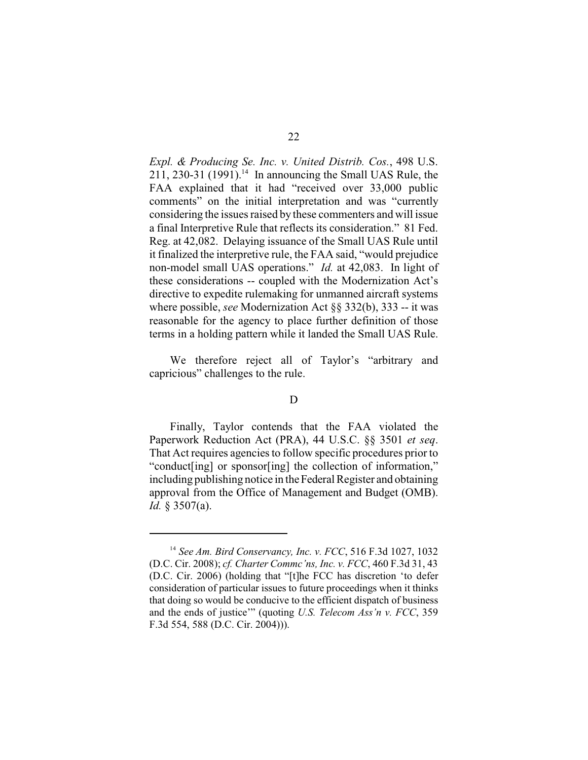*Expl. & Producing Se. Inc. v. United Distrib. Cos.*, 498 U.S. 211, 230-31 (1991).<sup>14</sup> In announcing the Small UAS Rule, the FAA explained that it had "received over 33,000 public comments" on the initial interpretation and was "currently considering the issues raised by these commenters and will issue a final Interpretive Rule that reflects its consideration." 81 Fed. Reg. at 42,082. Delaying issuance of the Small UAS Rule until it finalized the interpretive rule, the FAA said, "would prejudice non-model small UAS operations." *Id.* at 42,083. In light of these considerations -- coupled with the Modernization Act's directive to expedite rulemaking for unmanned aircraft systems where possible, *see* Modernization Act §§ 332(b), 333 -- it was reasonable for the agency to place further definition of those terms in a holding pattern while it landed the Small UAS Rule.

We therefore reject all of Taylor's "arbitrary and capricious" challenges to the rule.

## D

Finally, Taylor contends that the FAA violated the Paperwork Reduction Act (PRA), 44 U.S.C. §§ 3501 *et seq*. That Act requires agencies to follow specific procedures prior to "conduct[ing] or sponsor[ing] the collection of information," including publishing notice in the Federal Register and obtaining approval from the Office of Management and Budget (OMB). *Id.* § 3507(a).

<sup>&</sup>lt;sup>14</sup> See *Am. Bird Conservancy, Inc. v. FCC*, 516 F.3d 1027, 1032 (D.C. Cir. 2008); *cf. Charter Commc'ns, Inc. v. FCC*, 460 F.3d 31, 43 (D.C. Cir. 2006) (holding that "[t]he FCC has discretion 'to defer consideration of particular issues to future proceedings when it thinks that doing so would be conducive to the efficient dispatch of business and the ends of justice'" (quoting *U.S. Telecom Ass'n v. FCC*, 359 F.3d 554, 588 (D.C. Cir. 2004))).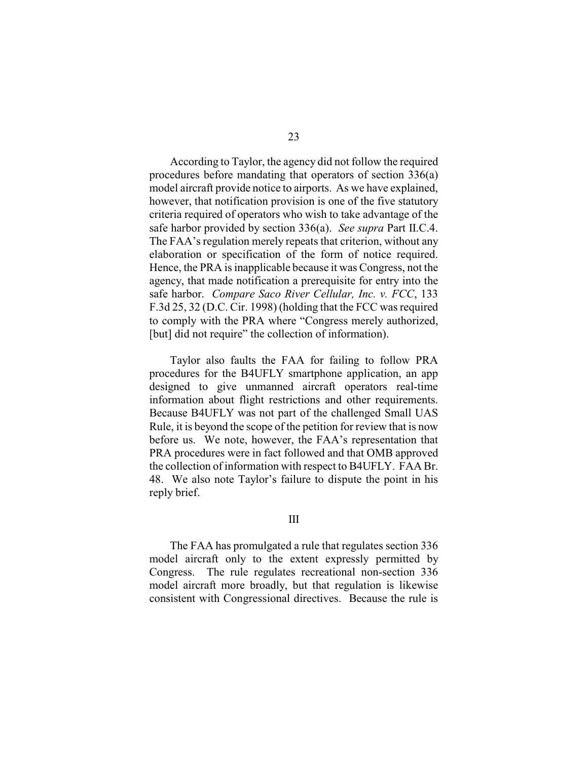According to Taylor, the agency did not follow the required procedures before mandating that operators of section 336(a) model aircraft provide notice to airports. As we have explained, however, that notification provision is one of the five statutory criteria required of operators who wish to take advantage of the safe harbor provided by section 336(a). *See supra* Part II.C.4. The FAA's regulation merely repeats that criterion, without any elaboration or specification of the form of notice required. Hence, the PRA is inapplicable because it was Congress, not the agency, that made notification a prerequisite for entry into the safe harbor. *Compare Saco River Cellular, Inc. v. FCC*, 133 F.3d 25, 32 (D.C. Cir. 1998) (holding that the FCC was required to comply with the PRA where "Congress merely authorized, [but] did not require" the collection of information).

Taylor also faults the FAA for failing to follow PRA procedures for the B4UFLY smartphone application, an app designed to give unmanned aircraft operators real-time information about flight restrictions and other requirements. Because B4UFLY was not part of the challenged Small UAS Rule, it is beyond the scope of the petition for review that is now before us. We note, however, the FAA's representation that PRA procedures were in fact followed and that OMB approved the collection of information with respect to B4UFLY. FAA Br. 48. We also note Taylor's failure to dispute the point in his reply brief.

## III

The FAA has promulgated a rule that regulates section 336 model aircraft only to the extent expressly permitted by Congress. The rule regulates recreational non-section 336 model aircraft more broadly, but that regulation is likewise consistent with Congressional directives. Because the rule is